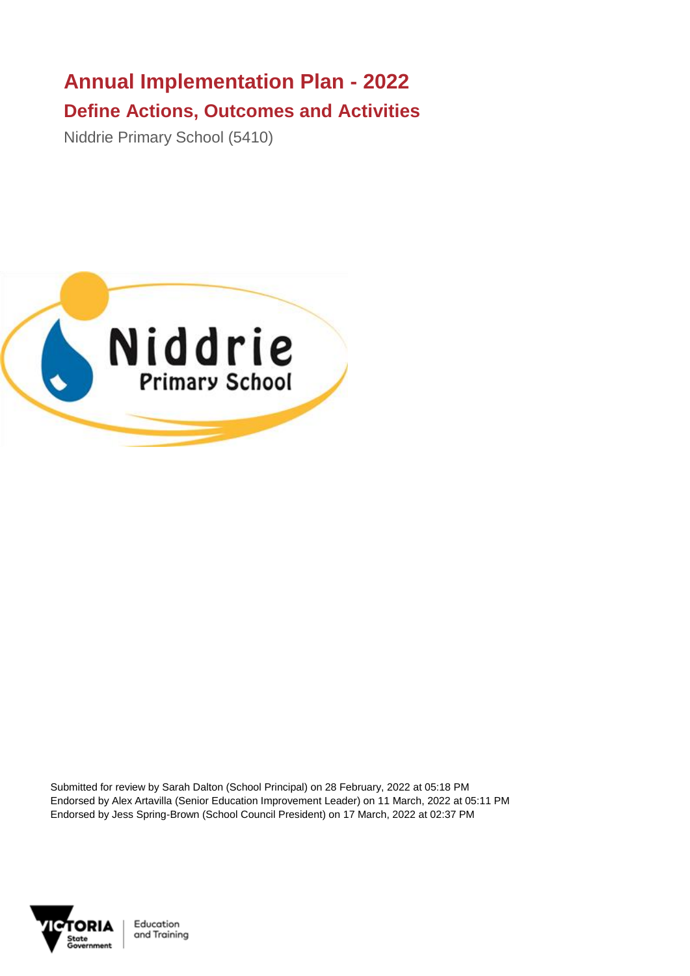## **Annual Implementation Plan - 2022 Define Actions, Outcomes and Activities**

Niddrie Primary School (5410)



Submitted for review by Sarah Dalton (School Principal) on 28 February, 2022 at 05:18 PM Endorsed by Alex Artavilla (Senior Education Improvement Leader) on 11 March, 2022 at 05:11 PM Endorsed by Jess Spring-Brown (School Council President) on 17 March, 2022 at 02:37 PM



Education and Training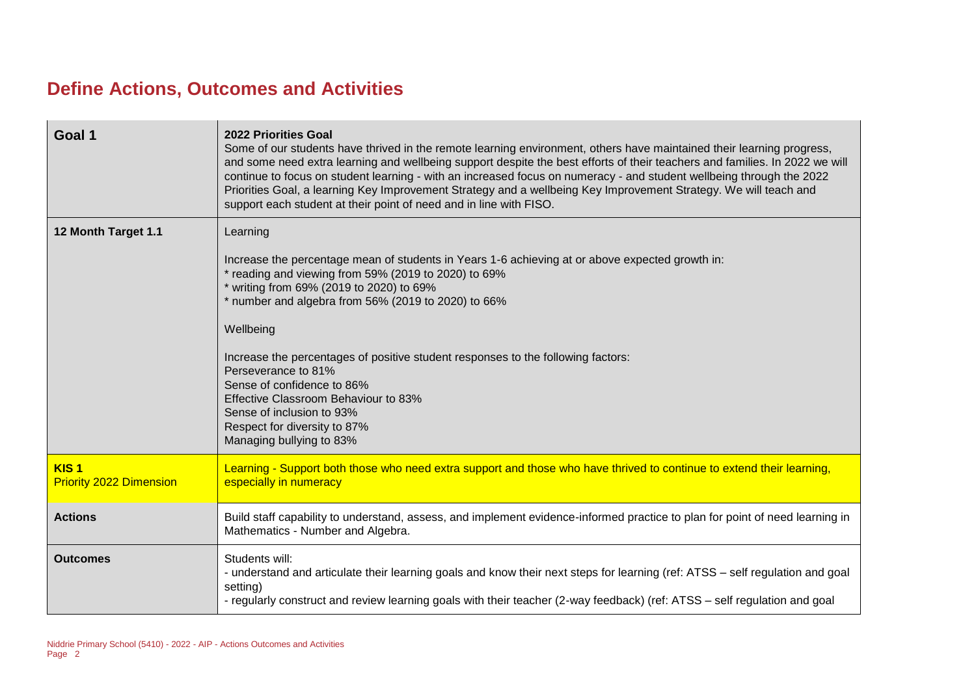## **Define Actions, Outcomes and Activities**

| Goal 1                                             | <b>2022 Priorities Goal</b><br>Some of our students have thrived in the remote learning environment, others have maintained their learning progress,<br>and some need extra learning and wellbeing support despite the best efforts of their teachers and families. In 2022 we will<br>continue to focus on student learning - with an increased focus on numeracy - and student wellbeing through the 2022<br>Priorities Goal, a learning Key Improvement Strategy and a wellbeing Key Improvement Strategy. We will teach and<br>support each student at their point of need and in line with FISO. |
|----------------------------------------------------|-------------------------------------------------------------------------------------------------------------------------------------------------------------------------------------------------------------------------------------------------------------------------------------------------------------------------------------------------------------------------------------------------------------------------------------------------------------------------------------------------------------------------------------------------------------------------------------------------------|
| 12 Month Target 1.1                                | Learning<br>Increase the percentage mean of students in Years 1-6 achieving at or above expected growth in:<br>* reading and viewing from 59% (2019 to 2020) to 69%<br>* writing from 69% (2019 to 2020) to 69%<br>* number and algebra from 56% (2019 to 2020) to 66%<br>Wellbeing<br>Increase the percentages of positive student responses to the following factors:<br>Perseverance to 81%<br>Sense of confidence to 86%<br>Effective Classroom Behaviour to 83%<br>Sense of inclusion to 93%<br>Respect for diversity to 87%<br>Managing bullying to 83%                                         |
| KIS <sub>1</sub><br><b>Priority 2022 Dimension</b> | Learning - Support both those who need extra support and those who have thrived to continue to extend their learning,<br>especially in numeracy                                                                                                                                                                                                                                                                                                                                                                                                                                                       |
| <b>Actions</b>                                     | Build staff capability to understand, assess, and implement evidence-informed practice to plan for point of need learning in<br>Mathematics - Number and Algebra.                                                                                                                                                                                                                                                                                                                                                                                                                                     |
| <b>Outcomes</b>                                    | Students will:<br>- understand and articulate their learning goals and know their next steps for learning (ref: ATSS – self regulation and goal<br>setting)<br>- regularly construct and review learning goals with their teacher (2-way feedback) (ref: ATSS - self regulation and goal                                                                                                                                                                                                                                                                                                              |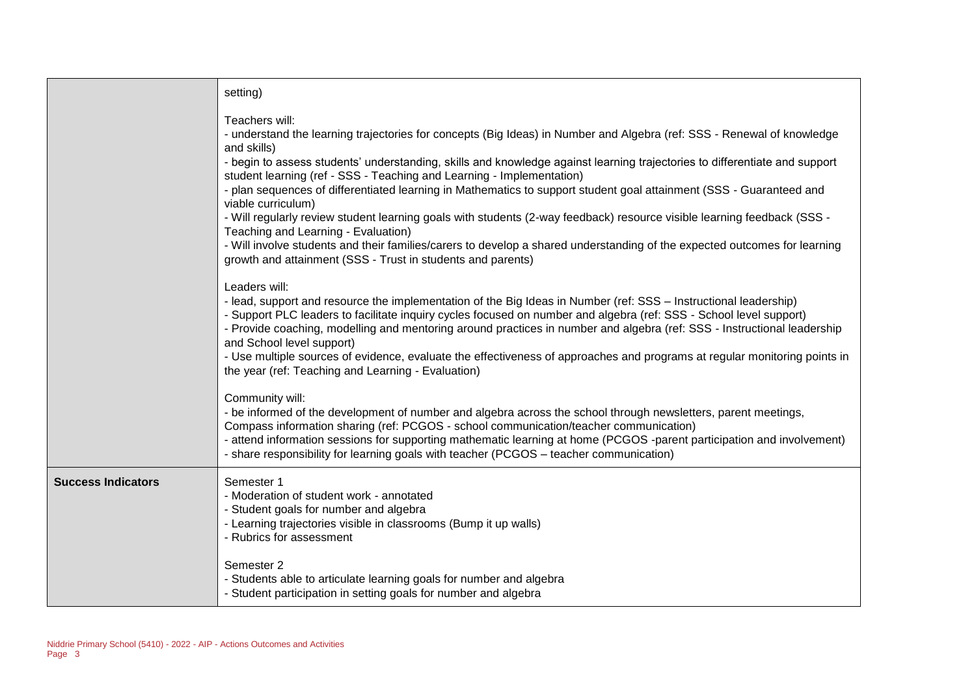|                           | setting)                                                                                                                                                                                                                                                                                                                                                                                                                                                                                                                                                                                                                                                                                                                                                                                                                                                                  |
|---------------------------|---------------------------------------------------------------------------------------------------------------------------------------------------------------------------------------------------------------------------------------------------------------------------------------------------------------------------------------------------------------------------------------------------------------------------------------------------------------------------------------------------------------------------------------------------------------------------------------------------------------------------------------------------------------------------------------------------------------------------------------------------------------------------------------------------------------------------------------------------------------------------|
|                           | Teachers will:<br>- understand the learning trajectories for concepts (Big Ideas) in Number and Algebra (ref: SSS - Renewal of knowledge<br>and skills)<br>- begin to assess students' understanding, skills and knowledge against learning trajectories to differentiate and support<br>student learning (ref - SSS - Teaching and Learning - Implementation)<br>- plan sequences of differentiated learning in Mathematics to support student goal attainment (SSS - Guaranteed and<br>viable curriculum)<br>- Will regularly review student learning goals with students (2-way feedback) resource visible learning feedback (SSS -<br>Teaching and Learning - Evaluation)<br>- Will involve students and their families/carers to develop a shared understanding of the expected outcomes for learning<br>growth and attainment (SSS - Trust in students and parents) |
|                           | Leaders will:<br>- lead, support and resource the implementation of the Big Ideas in Number (ref: SSS – Instructional leadership)<br>- Support PLC leaders to facilitate inquiry cycles focused on number and algebra (ref: SSS - School level support)<br>- Provide coaching, modelling and mentoring around practices in number and algebra (ref: SSS - Instructional leadership<br>and School level support)<br>- Use multiple sources of evidence, evaluate the effectiveness of approaches and programs at regular monitoring points in<br>the year (ref: Teaching and Learning - Evaluation)                                                                                                                                                                                                                                                                        |
|                           | Community will:<br>- be informed of the development of number and algebra across the school through newsletters, parent meetings,<br>Compass information sharing (ref: PCGOS - school communication/teacher communication)<br>- attend information sessions for supporting mathematic learning at home (PCGOS -parent participation and involvement)<br>- share responsibility for learning goals with teacher (PCGOS - teacher communication)                                                                                                                                                                                                                                                                                                                                                                                                                            |
| <b>Success Indicators</b> | Semester 1<br>- Moderation of student work - annotated<br>- Student goals for number and algebra<br>- Learning trajectories visible in classrooms (Bump it up walls)<br>- Rubrics for assessment                                                                                                                                                                                                                                                                                                                                                                                                                                                                                                                                                                                                                                                                          |
|                           | Semester 2<br>- Students able to articulate learning goals for number and algebra<br>- Student participation in setting goals for number and algebra                                                                                                                                                                                                                                                                                                                                                                                                                                                                                                                                                                                                                                                                                                                      |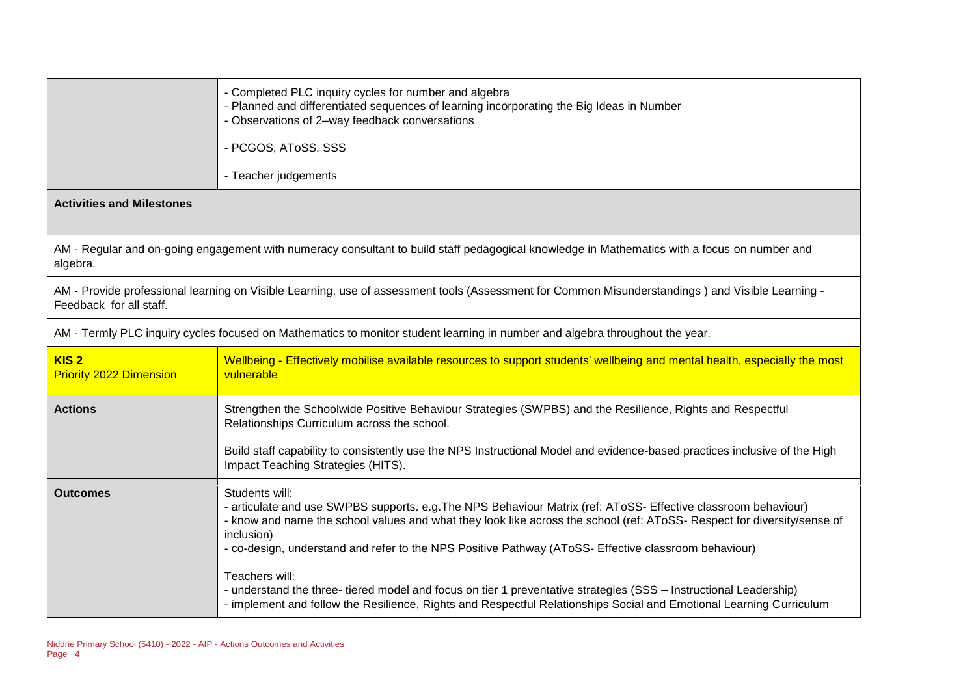|                                                                                                                                                                             | - Completed PLC inquiry cycles for number and algebra<br>- Planned and differentiated sequences of learning incorporating the Big Ideas in Number<br>- Observations of 2-way feedback conversations<br>- PCGOS, AToSS, SSS<br>- Teacher judgements                                                                                                                                                                                                                                                                                                                                                                                              |  |
|-----------------------------------------------------------------------------------------------------------------------------------------------------------------------------|-------------------------------------------------------------------------------------------------------------------------------------------------------------------------------------------------------------------------------------------------------------------------------------------------------------------------------------------------------------------------------------------------------------------------------------------------------------------------------------------------------------------------------------------------------------------------------------------------------------------------------------------------|--|
| <b>Activities and Milestones</b>                                                                                                                                            |                                                                                                                                                                                                                                                                                                                                                                                                                                                                                                                                                                                                                                                 |  |
| AM - Regular and on-going engagement with numeracy consultant to build staff pedagogical knowledge in Mathematics with a focus on number and<br>algebra.                    |                                                                                                                                                                                                                                                                                                                                                                                                                                                                                                                                                                                                                                                 |  |
| AM - Provide professional learning on Visible Learning, use of assessment tools (Assessment for Common Misunderstandings) and Visible Learning -<br>Feedback for all staff. |                                                                                                                                                                                                                                                                                                                                                                                                                                                                                                                                                                                                                                                 |  |
| AM - Termly PLC inquiry cycles focused on Mathematics to monitor student learning in number and algebra throughout the year.                                                |                                                                                                                                                                                                                                                                                                                                                                                                                                                                                                                                                                                                                                                 |  |
| KIS <sub>2</sub><br><b>Priority 2022 Dimension</b>                                                                                                                          | Wellbeing - Effectively mobilise available resources to support students' wellbeing and mental health, especially the most<br>vulnerable                                                                                                                                                                                                                                                                                                                                                                                                                                                                                                        |  |
| <b>Actions</b>                                                                                                                                                              | Strengthen the Schoolwide Positive Behaviour Strategies (SWPBS) and the Resilience, Rights and Respectful<br>Relationships Curriculum across the school.<br>Build staff capability to consistently use the NPS Instructional Model and evidence-based practices inclusive of the High<br>Impact Teaching Strategies (HITS).                                                                                                                                                                                                                                                                                                                     |  |
| <b>Outcomes</b>                                                                                                                                                             | Students will:<br>- articulate and use SWPBS supports. e.g. The NPS Behaviour Matrix (ref: AToSS- Effective classroom behaviour)<br>- know and name the school values and what they look like across the school (ref: AToSS- Respect for diversity/sense of<br>inclusion)<br>- co-design, understand and refer to the NPS Positive Pathway (AToSS- Effective classroom behaviour)<br>Teachers will:<br>- understand the three- tiered model and focus on tier 1 preventative strategies (SSS - Instructional Leadership)<br>- implement and follow the Resilience, Rights and Respectful Relationships Social and Emotional Learning Curriculum |  |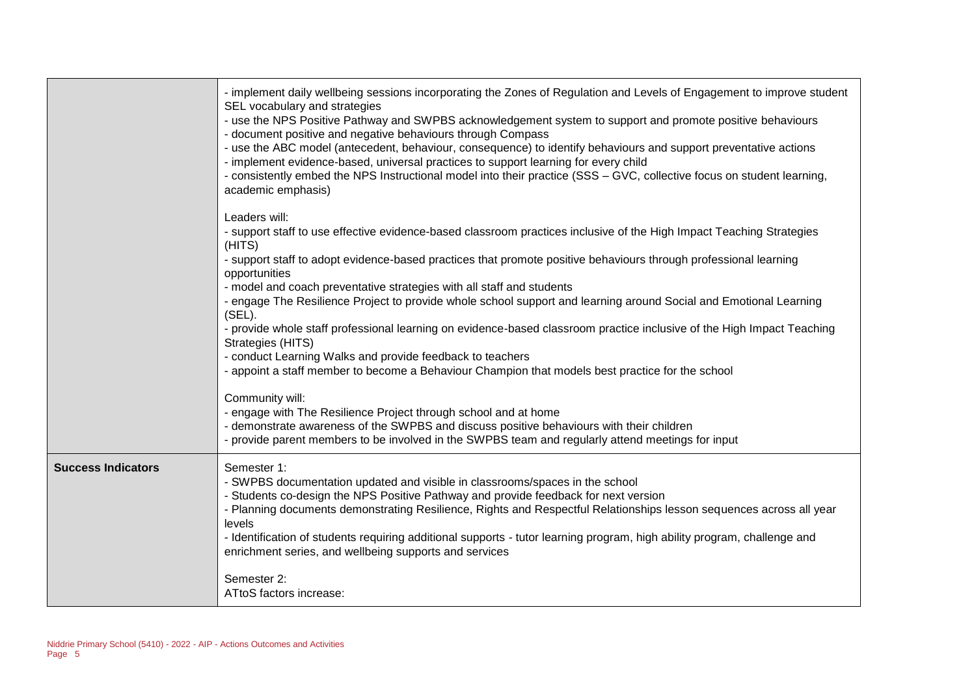|                           | - implement daily wellbeing sessions incorporating the Zones of Regulation and Levels of Engagement to improve student<br>SEL vocabulary and strategies<br>- use the NPS Positive Pathway and SWPBS acknowledgement system to support and promote positive behaviours<br>- document positive and negative behaviours through Compass<br>- use the ABC model (antecedent, behaviour, consequence) to identify behaviours and support preventative actions<br>- implement evidence-based, universal practices to support learning for every child<br>- consistently embed the NPS Instructional model into their practice (SSS - GVC, collective focus on student learning,<br>academic emphasis) |
|---------------------------|-------------------------------------------------------------------------------------------------------------------------------------------------------------------------------------------------------------------------------------------------------------------------------------------------------------------------------------------------------------------------------------------------------------------------------------------------------------------------------------------------------------------------------------------------------------------------------------------------------------------------------------------------------------------------------------------------|
|                           | Leaders will:<br>- support staff to use effective evidence-based classroom practices inclusive of the High Impact Teaching Strategies<br>(HITS)<br>- support staff to adopt evidence-based practices that promote positive behaviours through professional learning                                                                                                                                                                                                                                                                                                                                                                                                                             |
|                           | opportunities                                                                                                                                                                                                                                                                                                                                                                                                                                                                                                                                                                                                                                                                                   |
|                           | - model and coach preventative strategies with all staff and students<br>- engage The Resilience Project to provide whole school support and learning around Social and Emotional Learning                                                                                                                                                                                                                                                                                                                                                                                                                                                                                                      |
|                           | (SEL).                                                                                                                                                                                                                                                                                                                                                                                                                                                                                                                                                                                                                                                                                          |
|                           | - provide whole staff professional learning on evidence-based classroom practice inclusive of the High Impact Teaching<br>Strategies (HITS)                                                                                                                                                                                                                                                                                                                                                                                                                                                                                                                                                     |
|                           | - conduct Learning Walks and provide feedback to teachers                                                                                                                                                                                                                                                                                                                                                                                                                                                                                                                                                                                                                                       |
|                           | - appoint a staff member to become a Behaviour Champion that models best practice for the school                                                                                                                                                                                                                                                                                                                                                                                                                                                                                                                                                                                                |
|                           | Community will:                                                                                                                                                                                                                                                                                                                                                                                                                                                                                                                                                                                                                                                                                 |
|                           | - engage with The Resilience Project through school and at home                                                                                                                                                                                                                                                                                                                                                                                                                                                                                                                                                                                                                                 |
|                           | - demonstrate awareness of the SWPBS and discuss positive behaviours with their children<br>- provide parent members to be involved in the SWPBS team and regularly attend meetings for input                                                                                                                                                                                                                                                                                                                                                                                                                                                                                                   |
| <b>Success Indicators</b> | Semester 1:<br>- SWPBS documentation updated and visible in classrooms/spaces in the school<br>- Students co-design the NPS Positive Pathway and provide feedback for next version                                                                                                                                                                                                                                                                                                                                                                                                                                                                                                              |
|                           | - Planning documents demonstrating Resilience, Rights and Respectful Relationships lesson sequences across all year                                                                                                                                                                                                                                                                                                                                                                                                                                                                                                                                                                             |
|                           | levels<br>- Identification of students requiring additional supports - tutor learning program, high ability program, challenge and                                                                                                                                                                                                                                                                                                                                                                                                                                                                                                                                                              |
|                           | enrichment series, and wellbeing supports and services                                                                                                                                                                                                                                                                                                                                                                                                                                                                                                                                                                                                                                          |
|                           | Semester 2:<br>ATtoS factors increase:                                                                                                                                                                                                                                                                                                                                                                                                                                                                                                                                                                                                                                                          |